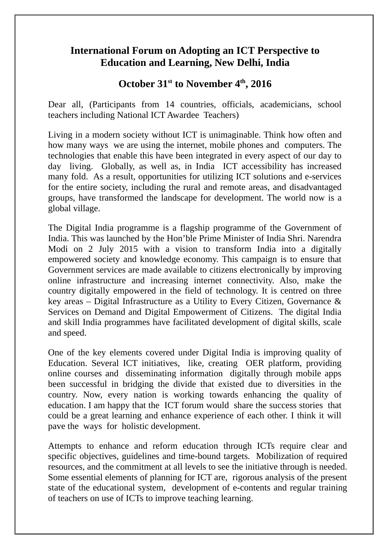# **International Forum on Adopting an ICT Perspective to Education and Learning, New Delhi, India**

# **October 31st to November 4th, 2016**

Dear all, (Participants from 14 countries, officials, academicians, school teachers including National ICT Awardee Teachers)

Living in a modern society without ICT is unimaginable. Think how often and how many ways we are using the internet, mobile phones and computers. The technologies that enable this have been integrated in every aspect of our day to day living. Globally, as well as, in India ICT accessibility has increased many fold. As a result, opportunities for utilizing ICT solutions and e-services for the entire society, including the rural and remote areas, and disadvantaged groups, have transformed the landscape for development. The world now is a global village.

The Digital India programme is a flagship programme of the Government of India. This was launched by the Hon'ble Prime Minister of India Shri. Narendra Modi on 2 July 2015 with a vision to transform India into a digitally empowered society and knowledge economy. This campaign is to ensure that Government services are made available to citizens electronically by improving online infrastructure and increasing internet connectivity. Also, make the country digitally empowered in the field of technology. It is centred on three key areas – Digital Infrastructure as a Utility to Every Citizen, Governance & Services on Demand and Digital Empowerment of Citizens. The digital India and skill India programmes have facilitated development of digital skills, scale and speed.

One of the key elements covered under Digital India is improving quality of Education. Several ICT initiatives, like, creating OER platform, providing online courses and disseminating information digitally through mobile apps been successful in bridging the divide that existed due to diversities in the country. Now, every nation is working towards enhancing the quality of education. I am happy that the ICT forum would share the success stories that could be a great learning and enhance experience of each other. I think it will pave the ways for holistic development.

Attempts to enhance and reform education through ICTs require clear and specific objectives, guidelines and time-bound targets. Mobilization of required resources, and the commitment at all levels to see the initiative through is needed. Some essential elements of planning for ICT are, rigorous analysis of the present state of the educational system, development of e-contents and regular training of teachers on use of ICTs to improve teaching learning.